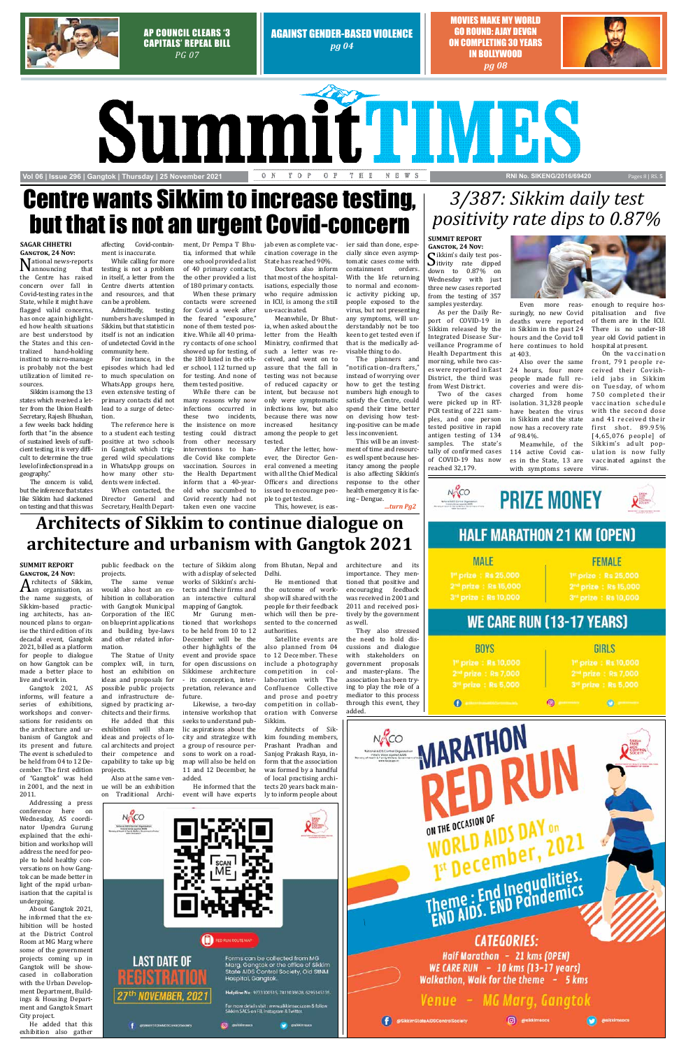Against Gender-Based Violence *pg 04* 



AP Council clears '3 capitals' repeal Bill *Pg 07*

#### **Sagar Chhetri** GANGTOK, 24 NOV:

Movies make my world go round: Ajay Devgn on completing 30 years in Bollywood *pg 08*



# **SummitTIMES Vol 06 | Issue 296 | Gangtok | Thursday | 25 November 2021 RNI NO. And NI NO. And NI No. SIKENG/2016/69420**<br> **RNI No. SIKENG/2016/69420**

Pages 8 | Rs. **5**

*...turn Pg2*

# Centre wants Sikkim to increase testing, but that is not an urgent Covid-concern

**N**ational news-reports<br>that<br>the Centre has raised the Centre has raised concern over fall in Covid-testing rates in the State, while it might have flagged valid concerns, has once again highlighted how health situations are best understood by the States and this centralized hand-holding instinct to micro-manage is probably not the best utilization of limited resources.

Sikkim is among the 13 states which received a letter from the Union Health Secretary, Rajesh Bhushan, a few weeks back holding forth that "in the absence of sustained levels of sufficient testing, it is very difficult to determine the true level of infection spread in a geography."

affecting Covid-containment is inaccurate.

testing is not a problem in itself, a letter from the Centre diverts attention and resources, and that can be a problem.

numbers have slumped in Sikkim, but that statistic in itself is not an indication of undetected Covid in the community here.

The concern is valid, but the inference that states like Sikkim had slackened on testing and that this was Secretary, Health Depart-

episodes which had led to much speculation on WhatsApp groups here, even extensive testing of primary contacts did not lead to a surge of detection.

While calling for more ment, Dr Pempa T Bhutia, informed that while one school provided a list of 40 primary contacts,

to a student each testing positive at two schools in Gangtok which triggered wild speculations in WhatsApp groups on how many other stu-

Admittedly, testing For instance, in the for Covid a week after the feared "exposure," none of them tested positive. While all 40 primary contacts of one school showed up for testing, of the 180 listed in the oth-

the other provided a list of 180 primary contacts. When these primary contacts were screened

The reference here is the insistence on more testing could distract from other necessary interventions to handle Covid like complete vaccination. Sources in the Health Department

Sikkim's daily test pos-<br>down to 0.87% on down to 0.87% on Wednesday with just three new cases reported from the testing of 357 samples yesterday.

dents were infected. When contacted, the Director General and inform that a 40-year-

er school, 112 turned up for testing. And none of them tested positive. many reasons why now infections occurred in these two incidents,

While there can be

old who succumbed to Covid recently had not taken even one vaccine

jab even as complete vaccination coverage in the State has reached 90%.

Doctors also inform that most of the hospitalisations, especially those who require admission in ICU, is among the still un-vaccinated.

Meanwhile, Dr Bhutia, when asked about the letter from the Health Ministry, confirmed that such a letter was received, and went on to assure that the fall in testing was not because of reduced capacity or intent, but because not only were symptomatic infections low, but also because there was now<br>increased hesitancy hesitancy among the people to get tested.

After the letter, however, the Director General convened a meeting with all the Chief Medical Officers and directions issued to encourage people to get tested.

This, however, is eas-

 $A$ <sub>an organisation, as</sub><br>the name suggests, of the name suggests, of Sikkim-based practicing architects, has announced plans to organise the third edition of its decadal event, Gangtok 2021, billed as a platform for people to dialogue on how Gangtok can be made a better place to live and work in. Gangtok 2021, AS informs, will feature a series of exhibitions, workshops and conversations for residents on the architecture and urbanism of Gangtok and its present and future. The event is scheduled to be held from 04 to 12 December. The first edition of "Gangtok" was held in 2001, and the next in 2011. Addressing a press conference here on Wednesday, AS coordinator Upendra Gurung explained that the exhibition and workshop will address the need for people to hold healthy conversations on how Gangtok can be made better in light of the rapid urbanisation that the capital is undergoing. About Gangtok 2021, he informed that the exhibition will be hosted at the District Control Room at MG Marg where some of the government projects coming up in Gangtok will be showcased in collaboration with the Urban Development Department, Buildings & Housing Department and Gangtok Smart City project.

ier said than done, especially since even asymptomatic cases come with<br>containment orders. containment orders. With the life returning to normal and economic activity picking up, people exposed to the virus, but not presenting any symptoms, will understandably not be too keen to get tested even if that is the medically advisable thing to do.

The planners and "notification-drafters," instead of worrying over how to get the testing numbers high enough to satisfy the Centre, could spend their time better on devising how testing-positive can be made less inconvenient.

This will be an investment of time and resources well spent because hesitancy among the people is also affecting Sikkim's response to the other health emergency it is fac-

ing – Dengue.

## *3/387: Sikkim daily test positivity rate dips to 0.87%* **Summit Report Gangtok, 24 Nov:**

As per the Daily Report of COVID-19 in Sikkim released by the Integrated Disease Surveillance Programme of Health Department this morning, while two cases were reported in East District, the third was from West District.

Two of the cases were picked up in RT-PCR testing of 221 samples, and one person tested positive in rapid antigen testing of 134 samples. The state's tally of confirmed cases

of COVID-19 has now reached 32,179.



Even more reassuringly, no new Covid deaths were reported in Sikkim in the past 24 hours and the Covid toll here continues to hold at 403.

Also over the same 24 hours, four more people made full recoveries and were discharged from home isolation. 31,328 people have beaten the virus in Sikkim and the state now has a recovery rate of 98.4%.

Meanwhile, of the 114 active Covid cases in the State, 13 are with symptoms severe

enough to require hospitalisation and five of them are in the ICU. There is no under-18 year old Covid patient in hospital at present.

On the vaccination front, 791 people received their Covishield jabs in Sikkim on Tuesday, of whom 750 completed their vaccination schedule with the second dose and 41 received their first shot. 89.95% [4,65,076 people] of Sikkim's adult population is now fully vaccinated against the virus.



## **Architects of Sikkim to continue dialogue on architecture and urbanism with Gangtok 2021**

#### **Summit Report Gangtok, 24 Nov:**

He added that this exhibition also gather public feedback on the projects.

The same venue would also host an exhibition in collaboration with Gangtok Municipal Corporation of the IEC on blueprint applications and building bye-laws

and other related information.

projects.

The Statue of Unity complex will, in turn, host an exhibition on ideas and proposals for possible public projects and infrastructure designed by practicing arother highlights of the event and provide space for open discussions on Sikkimese architecture - its conception, interpretation, relevance and future.

tecture of Sikkim along with a display of selected

works of Sikkim's architects and their firms and an interactive cultural mapping of Gangtok. Mr Gurung men-

chitects and their firms. He added that this exhibition will share ideas and projects of local architects and project their competence and capability to take up big intensive workshop that seeks to understand public aspirations about the city and strategize with a group of resource persons to work on a roadmap will also be held on 11 and 12 December, he

O

tioned that workshops to be held from 10 to 12 December will be the

Also at the same venue will be an exhibition on Traditional Archiadded. He informed that the event will have experts

**LAST DATE OF** 

**VACO** 

from Bhutan, Nepal and Delhi.

Likewise, a two-day to 12 December. These include a photography competition in collaboration with The Confluence Collective and prose and poetry competition in collaboration with Converse Sikkim.

Forms can be collected from MG

Hospital, Gangtok.

Marg, Gangtok or the office of Sikkim<br>State AIDS Control Society, Old StNM

Helpline No: 9733300515, 7811038628, 6295145135.

S on FB, Instagram & Twitte

He mentioned that the outcome of workshop will shared with the people for their feedback which will then be presented to the concerned authorities.

Architects of Sikkim founding members, Prashant Pradhan and Sanjog Prakash Raya, inform that the association was formed by a handful of local practising architects 20 years back mainly to inform people about

**BOYS** GIRLS <sup>1ª</sup> prize: Rs 10,000 1" prize : Rs 10,000 2<sup>nd</sup> prize: Rs 7,000 2<sup>nd</sup> prize: Rs 7,000 3<sup>rd</sup> prize : Rs 5,000 3<sup>rd</sup> prize: Rs 5,000  $\boldsymbol{\Omega}$ 



Satellite events are also planned from 04 They also stressed the need to hold discussions and dialogue with stakeholders on government proposals and master-plans. The<br>association has been trying to play the role of a mediator to this process through this event, they added.



## **MALE** 1" prize : Rs 25,000

2<sup>nd</sup> prize: Rs 15,000 3<sup>rd</sup> prize : Rs 10,000

**FEMALE** 1<sup>st</sup> prize: Rs 25,000

## **WE CARE RUN [13-17 YEARS]**

architecture and its importance. They mentioned that positive and encouraging feedback was received in 2001 and 2011 and received positively by the government as well.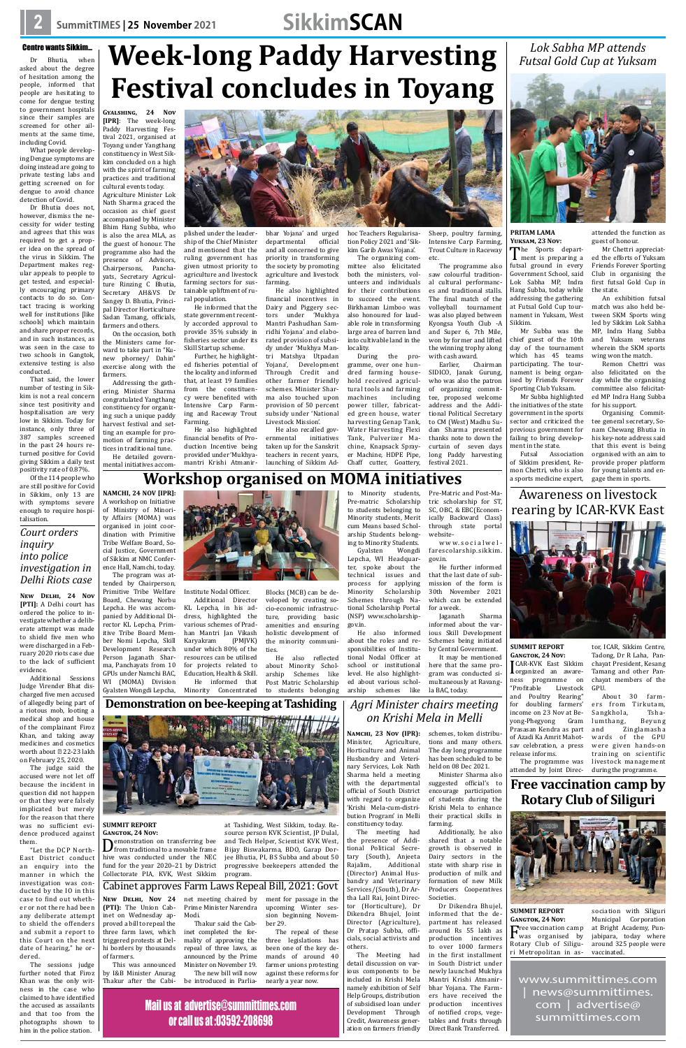## **2 SummitTIMES | 25 November 2021 SikkimSCAN**

Mail us at advertise@summittimes.com or call us at :03592-208698

# **Week-long Paddy Harvesting Festival concludes in Toyang**

**Gyalshing, 24 Nov [IPR]**: The week-long Paddy Harvesting Festival 2021, organised at Toyang under Yangthang constituency in West Sikkim concluded on a high with the spirit of farming practices and traditional cultural events today.

Agriculture Minister Lok Nath Sharma graced the occasion as chief guest accompanied by Minister Bhim Hang Subba, who is also the area MLA, as the guest of honour. The programme also had the presence of Advisors, Chairpersons, Panchayats, Secretary Agriculture Rinzing C Bhutia, Secretary AH&VS Dr Sangey D. Bhutia, Princi-

pal Director Horticulture Sadan Tamang, officials, farmers and others. On the occasion, both

the Ministers came forward to take part in "Kunew phorney/ Dahin" exercise along with the farmers.

bhar Yojana' and urged<br>departmental official departmental and all concerned to give priority in transforming the society by promoting agriculture and livestock

Addressing the gathering, Minister Sharma congratulated Yangthang constituency for organizing such a unique paddy harvest festival and setting an example for promotion of farming practices in traditional tune.

He detailed governmental initiatives accom-

ral population. He informed that the state government recently accorded approval to provide 35% subsidy in fisheries sector under its Skill Startup scheme.

plished under the leadership of the Chief Minister and mentioned that the ruling government has given utmost priority to agriculture and livestock farming sectors for sustainable upliftment of rufarming.

The programme also saw colourful traditional cultural performances and traditional stalls. The final match of the volleyball tournament was also played between Kyongsa Youth Club -A and Super 6, 7th Mile, won by former and lifted the winning trophy along with cash award.<br>Earlier, Ch

Further, he highlighted fisheries potential of the locality and informed that, at least 19 families from the constituency were benefited with Intensive Carp Farming and Raceway Trout Farming.

He also highlighted financial benefits of Production Incentive being provided under 'Mukhyamantri Krishi Atmanir-

He also highlighted financial incentives in Dairy and Piggery sectors under 'Mukhya Mantri Pashudhan Samridhi Yojana' and elaborated provision of subsidy under 'Mukhya Mantri Matshya Utpadan Yojana', Development Through Credit and other farmer friendly schemes. Minister Sharma also touched upon provision of 50 percent subsidy under 'National Livestock Mission'.

Chairman SIDICO, Janak Gurung, who was also the patron of organizing committee, proposed welcome address and the Additional Political Secretary to CM (West) Madhu Sudan Sharma presented thanks note to down the curtain of seven days long Paddy harvesting festival 2021. participating. The tournament is being organised by Friends Forever Sporting Club Yuksam. the initiatives of the state government in the sports sector and criticized the previous government for failing to bring development in the state. of Sikkim president, Re-



The Sports depart-<br>
ment is preparing a<br>
futsal ground in every futsal ground in every Government School, said Lok Sabha MP, Indra Mr Chettri appreciated the efforts of Yuksam Friends Forever Sporting Club in organising the first futsal Gold Cup in

He also recalled governmental initiatives taken up for the Sanskrit teachers in recent years, launching of Sikkim Adhoc Teachers Regularisation Policy 2021 and 'Sikkim Garib Awas Yojana'. The organizing com-

mittee also felicitated both the ministers, volunteers and individuals for their contributions to succeed the event. Birkhaman Limboo was also honoured for laudable role in transforming large area of barren land into cultivable land in the locality. During the pro-

gramme, over one hundred farming household received agricultural tools and farming machines including power tiller, fabricated green house, water harvesting Genap Tank, Water Harvesting Flexi Tank, Pulverizer Machine, Knapsack Sprayer Machine, HDPE Pipe, Chaff cutter, Goattery,

Sheep, poultry farming, Intensive Carp Farming, Trout Culture in Raceway etc.

under which 80% of the the minority communities

## *Lok Sabha MP attends Futsal Gold Cup at Yuksam*

**PRITAM LAMA Yuksam, 23 Nov:**

> Hang Subba, today while addressing the gathering at Futsal Gold Cup tournament in Yuksam, West

Sikkim.

Mr Subba was the chief guest of the 10th day of the tournament which has 45 teams

Mr Subba highlighted

attended the function as

guest of honour.

the state. An exhibition futsal match was also held between SKM Sports wing led by Sikkim Lok Sabha MP, Indra Hang Subba and Yuksam veterans wherein the SKM sports wing won the match.

Futsal Association mon Chettri, who is also a sports medicine expert, Organising Committee general secretary, Sonam Chewang Bhutia in his key-note address said that this event is being organised with an aim to provide proper platform for young talents and engage them in sports.

**Demonstration** on transferring bee from traditional to a movable frame hive was conducted under the NEC fund for the year 2020–21 by District Collectorate PIA, KVK, West Sikkim

Remon Chettri was also felicitated on the day while the organising committee also felicitated MP Indra Hang Subba for his support.

Dr Bhutia, when asked about the degree of hesitation among the people, informed that people are hesitating to come for dengue testing to government hospitals since their samples are screened for other ailments at the same time, including Covid.

What people developing Dengue symptoms are doing instead are going to private testing labs and getting screened on for dengue to avoid chance detection of Covid.

Dr Bhutia does not, however, dismiss the necessity for wider testing and agrees that this was required to get a proper idea on the spread of the virus in Sikkim. The Department makes regular appeals to people to get tested, and especially encouraging primary contacts to do so. Contact tracing is working well for institutions [like schools] which maintain and share proper records, and in such instances, as was seen in the case to two schools in Gangtok, extensive testing is also conducted.

That said, the lower number of testing in Sikkim is not a real concern since test positivity and hospitalisation are very low in Sikkim. Today for instance, only three of 387 samples screened in the past 24 hours returned positive for Covid giving Sikkim a daily test positivity rate of 0.87%.

Of the 114 people who are still positive for Covid in Sikkim, only 13 are with symptoms severe enough to require hospitalisation.

#### Centre wants Sikkim...

## **Workshop organised on MOMA initiatives**

**Namchi, 24 Nov [IPR]:** A workshop on Initiative of Ministry of Minority Affairs (MOMA) was organised in joint coordination with Primitive Tribe Welfare Board, Social Justice, Government of Sikkim at NMC Conference Hall, Namchi, today. The program was at-

tended by Chairperson, Primitive Tribe Welfare Board, Chewang Norbu Lepcha. He was accompanied by Additional Director KL Lepcha, Primitive Tribe Board Member Nomi Lepcha, Skill Development Research Person Jaganath Sharma, Panchayats from 10 GPUs under Namchi BAC, WI (MOMA) Division



www.summittimes.com | news@summittimes. com | advertise@ summittimes.com

Institute Nodal Officer. Additional Director KL Lepcha, in his address, highlighted the various schemes of Pradhan Mantri Jan Vikash

Gyalsten Wongdi Lepcha, resources can be utilised for projects related to Education, Health & Skill. He informed that Minority Concentrated

Karvakram

Blocks (MCB) can be developed by creating socio-economic infrastructure, providing basic amenities and ensuring holistic development of

> He also reflected about Minority Scholarship Schemes like Post Matric Scholarship to students belonging

to Minority students, Pre-matric Scholarship to students belonging to Minority students, Merit cum Means based Scholarship Students belonging to Minority Students. Gyalsten Wongdi

Lepcha, WI Headquarter, spoke about the technical issues and process for applying Minority Scholarship Schemes through National Scholarship Portal (NSP) www.scholarshipgov.in.

He also informed about the roles and re-

sponsibilities of Institutional Nodal Officer at school or institutional level. He also highlighted about various scholarship schemes like

Pre-Matric and Post-Matric scholarship for ST, SC, OBC, & EBC(Economically Backward Class) through state portal websitewww.socialwel -

farescolarship.sikkim. gov.in.

He further informed that the last date of submission of the form is 30th November 2021 which can be extended for a week.

Jaganath Sharma informed about the various Skill Development

Schemes being initiated by Central Government. It may be mentioned here that the same program was conducted simultaneously at Ravangla BAC, today.

## Awareness on livestock rearing by ICAR-KVK East



and Poultry Rearing" for doubling farmers' income on 23 Nov at Beyong-Phegyong Gram Prasasan Kendra as part of Azadi Ka Amrit Mahotsav celebration, a press release informs.

**SUMMIT REPORT Gangtok, 24 Nov: LAN-NVN EAST SIKKIIII**<br>organized an aware-<br>ness programme on CAR-KVK East Sikkim ness programme on<br>"Profitable Livestock "Profitable tor, ICAR, Sikkim Centre, Tadong, Dr R Laha, Panchayat President, Kesang Tamang and other Panchayat members of the GPU.

The programme was attended by Joint Direc-

About 30 farmers from Tirkutam,<br>Sangkhola. Tsha-Sangkhola, Tshalumthang,<br>and Z Zinglamasha wards of the GPU were given hands-on training on scientific livestock management during the programme.

**Demonstration on bee-keeping at Tashiding**

**SUMMIT REPORT Gangtok, 24 Nov:**

at Tashiding, West Sikkim, today. Re-

#### source person KVK Scientist, JP Dulal, and Tech Helper, Scientist KVK West, Bijay Biswakarma, BDO, Garap Dorjee Bhutia, PI, BS Subba and about 50 progressive beekeepers attended the program.

## *Agri Minister chairs meeting on Krishi Mela in Melli*

**Namchi, 23 Nov (IPR):** Minister, Agriculture, Horticulture and Animal Husbandry and Veterinary Services, Lok Nath Sharma held a meeting with the departmental official of South District with regard to organize 'Krishi Mela-cum-distribution Program' in Melli constituency today.

The meeting had the presence of Additional Political Secretary (South), Anjeeta Additional (Director) Animal Husbandry and Veterinary Services/(South), Dr Artha Lall Rai, Joint Director (Horticulture), Dr

Dikendra Bhujel, Joint Director (Agriculture), Dr Pratap Subba, officials, social activists and others.

The Meeting had detail discussion on various components to be included in Krishi Mela namely exhibition of Self Help Groups, distribution of subsidised loan under Development Through Credit, Awareness generation on farmers friendly

schemes, token distributions and many others. The day long programme has been scheduled to be held on 08 Dec 2021.

Minister Sharma also suggested official's to encourage participation of students during the Krishi Mela to enhance their practical skills in farming.

Additionally, he also shared that a notable growth is observed in Dairy sectors in the state with sharp rise in production of milk and formation of new Milk Producers Cooperatives Societies.

Dr Dikendra Bhujel, informed that the department has released around Rs 55 lakh as production incentives

to over 1000 farmers in the first installment in South District under newly launched Mukhya Mantri Krishi Atmanirbhar Yojana. The Farmers have received the production incentives of notified crops, vegetables and fruits through Direct Bank Transferred.

**Free vaccination camp by Rotary Club of Siliguri**



**SUMMIT REPORT** GANGTOK, 24 NOV:  $\Gamma_{\text{max}}^{\text{reevacination camp}}$ was organised by Rotary Club of Siliguri Metropolitan in as-

sociation with Siliguri Municipal Corporation at Bright Academy, Punjabipara, today where around 325 people were vaccinated.

#### *Court orders inquiry into police investigation in Delhi Riots case*

**New Delhi, 24 Nov [PTI]:** A Delhi court has ordered the police to investigate whether a deliberate attempt was made to shield five men who

were discharged in a February 2020 riots case due to the lack of sufficient evidence.

Additional Sessions Judge Virender Bhat discharged five men accused of allegedly being part of a riotous mob, looting a medical shop and house of the complainant Firoz Khan, and taking away medicines and cosmetics worth about **₹** 22-23 lakh on February 25, 2020.

The judge said the accused were not let off because the incident in question did not happen or that they were falsely implicated but merely for the reason that there was no sufficient evidence produced against them.

"Let the DCP North-East District conduct an enquiry into the manner in which the investigation was conducted by the IO in this case to find out whether or not there had been any deliberate attempt to shield the offenders and submit a report to this Court on the next date of hearing," he ordered.

The sessions judge further noted that Firoz Khan was the only witness in the case who claimed to have identified the accused as assailants and that too from the photographs shown to him in the police station.

#### Cabinet approves Farm Laws Repeal Bill, 2021: Govt

**New Delhi, Nov 24 (PTI):** The Union Cabinet on Wednesday approved a bill to repeal the

three farm laws, which triggered protests at Delhi borders by thousands of farmers.

This was announced by I&B Minister Anurag

net meeting chaired by Prime Minister Narendra Thakur said the Cabinet completed the for-

Modi.

Thakur after the Cabibe introduced in Parlia-

mality of approving the repeal of three laws, as announced by the Prime

Minister on November 19. The new bill will now

ment for passage in the upcoming Winter session beginning November 29.

The repeal of these three legislations has been one of the key demands of around 40 farmer unions protesting against these reforms for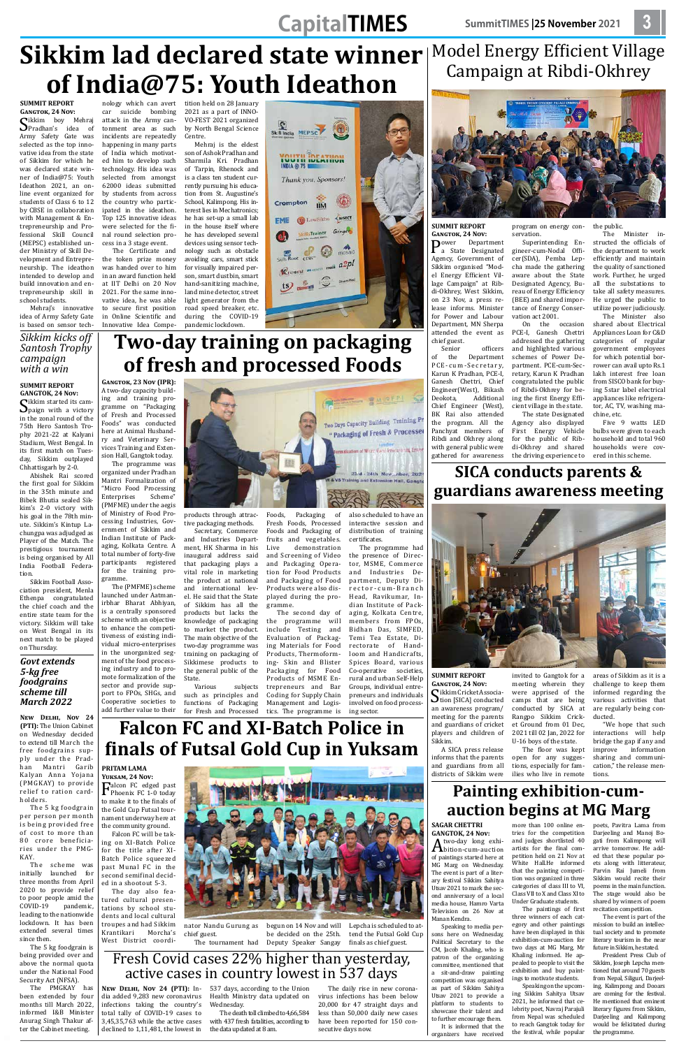## **CapitalTIMES SummitTIMES |25 November 2021 3**

# **Sikkim lad declared state winner of India@75: Youth Ideathon**

## **SUMMIT REPORT**

GANGTOK, 24 Nov:<br>
Cikkim boy Mehraj **S**IKKIM boy Mehraj<br>Pradhan's idea of<br>Army Safety Gate was **D**Pradhan's idea of selected as the top innovative idea from the state of Sikkim for which he was declared state winner of India@75: Youth Ideathon 2021, an online event organized for students of Class 6 to 12 by CBSE in collaboration with Management & Entrepreneurship and Professional Skill Council (MEPSC) established under Ministry of Skill Development and Entrepreneurship. The ideathon intended to develop and build innovation and entrepreneurship skill in school students.

Mehraj's innovative idea of Army Safety Gate is based on sensor tech-

nology which can avert tition held on 28 January car suicide bombing attack in the Army cantonment area as such incidents are repeatedly 2021 as a part of INNO-VO-FEST 2021 organized by North Bengal Science Centre.

> **Power** Department<br>a State Designated<br>Agency, Government of Agency, Government of Sikkim organised "Model Energy Efficient Village Campaign" at Ribdi-Okhrey, West Sikkim, on 23 Nov, a press release informs. Minister for Power and Labour Department, MN Sherpa attended the event as

happening in many parts of India which motivated him to develop such technology. His idea was selected from amongst 62000 ideas submitted by students from across the country who participated in the ideathon. Top 125 innovative ideas were selected for the final round selection process in a 3 stage event. The Certificate and the token prize money was handed over to him in an award function held at IIT Delhi on 20 Nov 2021. For the same innovative idea, he was able to secure first position in Online Scientific and Mehraj is the eldest son of Ashok Pradhan and Sharmila Kri. Pradhan of Tarpin, Rhenock and is a class ten student currently pursuing his education from St. Augustine's School, Kalimpong. His interest lies in Mechatronics; he has set-up a small lab in the house itself where he has developed several

Innovative Idea Compe-

devices using sensor technology such as obstacle avoiding cars, smart stick for visually impaired person, smart dustbin, smart hand-sanitizing machine, land mine detector, street light generator from the road speed breaker, etc. during the COVID-19 pandemic lockdown.



Model Energy Efficient Village

# Campaign at Ribdi-Okhrey

**SUMMIT REPORT Gangtok, 24 Nov:**

chief guest. officers of the Department PCE-cum-Secretary, Karun K Pradhan, PCE-I, Ganesh Chettri, Chief Engineer(West), Bikash<br>Deokota, Additional Additional Chief Engineer (West), BK Rai also attended the program. All the Panchyat members of Ribdi and Okhrey along with general public were gathered for awareness servation.

Superintending Engineer-cum-Nodal Officer(SDA), Pemba Lepcha made the gathering aware about the State Designated Agency, Bureau of Energy Efficiency (BEE) and shared importance of Energy Conser-

vation act 2001.

subjects ing Materials for Food Products, Thermoforming- Skin and Blister Packaging for Food Products of MSME Entrepreneurs and Bar Coding for Supply Chain program on energy conthe public.

On the occasion PCE-I, Ganesh Chettri addressed the gathering and highlighted various schemes of Power Department. PCE-cum-Secretary, Karun K Pradhan congratulated the public of Ribdi-Okhrey for being the first Energy Efficient village in the state. The state Designated Agency also displayed First Energy Vehicle for the public of Ribdi-Okhrey and shared the driving experience to

demonstration and Screening of Video and Packaging Operation for Food Products and Packaging of Food Products were also disinclude Testing and Bidhan Das, SIMFED, The programme had the presence of Director, MSME, Commerce and Industries Department, Deputy Dir e c t o r - c u m - B r a n c h Head, Ravikumar, Indian Institute of Packaging, Kolkata Centre, members from FPOs, Temi Tea Estate, Di-

## **SUMMIT REPORT Gangtok, 24 Nov:** Sikkim Cricket Associa-<br>an awareness program/

The Minister instructed the officials of the department to work efficiently and maintain the quality of sanctioned work. Further, he urged all the substations to take all safety measures. He urged the public to utilize power judiciously. The Minister also

shared about Electrical Appliances Loan for C&D categories of regular government employees for which potential borrower can avail upto Rs.1 lakh interest free loan from SISCO bank for buying 5star label electrical appliances like refrigerator, AC, TV, washing machine, etc.

**Falcon FC edged past**<br> **Phoenix FC 1-0 today**<br> **to make it to the finals of** to make it to the finals of the Gold Cup Futsal tournament underway here at the community ground.

Five 9 watts LED bulbs were given to each household and total 960 households were covered in this scheme.

## **Two-day training on packaging of fresh and processed Foods**

**Gangtok, 23 Nov (IPR):**  A two-day capacity building and training programme on "Packaging of Fresh and Processed Foods" was conducted here at Animal Husbandry and Veterinary Services Training and Extension Hall, Gangtok today.

> A two-day long exhi-<br>of paintings started here at of paintings started here at MG Marg on Wednesday. The event is part of a literary festival Sikkim Sahitya Utsav 2021 to mark the second anniversary of a local media house, Hamro Varta Television on 26 Nov at Manan Kendra.

The programme was organized under Pradhan Mantri Formalization of "Micro Food Processing<br>Enterprises Scheme" Enterprises (PMFME) under the aegis of Ministry of Food Processing Industries, Government of Sikkim and Indian Institute of Packaging, Kolkata Centre. A total number of forty-five participants registered for the training pro-

products through attractive packaging methods.

gramme. The (PMFME) scheme launched under Aatmanirbhar Bharat Abhiyan, is a centrally sponsored scheme with an objective to enhance the competitiveness of existing individual micro-enterprises in the unorganized segment of the food processing industry and to promote formalization of the sector and provide support to FPOs, SHGs, and Cooperative societies to add further value to their knowledge of packaging to market the product. The main objective of the two-day programme was training on packaging of Sikkimese products to the general public of the State.<br>Various such as principles and functions of Packaging for Fresh and Processed



Secretary, Commerce and Industries Department, HK Sharma in his inaugural address said that packaging plays a vital role in marketing the product at national and international level. He said that the State of Sikkim has all the products but lacks the

The 5 kg foodgrain per person per month is being provided free of cost to more than 80 crore beneficiaries under the PMG-KAY.<br>The

played during the programme. The second day of the programme will Evaluation of Packag-

Foods, Packaging of Fresh Foods, Processed Foods and Packaging of fruits and vegetables.<br>Live demonstration also scheduled to have an interactive session and distribution of training certificates.

The scheme was<br>initially launched for launched for three months from April 2020 to provide relief to poor people amid the<br>COVID-19 pandemic, pandemic, leading to the nationwide lockdown. It has been extended several times since then.

## Fresh Covid cases 22% higher than yesterday, active cases in country lowest in 537 days

Management and Logistics. The programme is ing sector.

rectorate of Handloom and Handicrafts, Spices Board, various Co-operative societies, rural and urban Self-Help Groups, individual entrepreneurs and individuals involved on food process-

**SICA conducts parents & guardians awareness meeting**



an awareness program/ meeting for the parents and guardians of cricket players and children of Sikkim. A SICA press release

informs that the parents and guardians from all districts of Sikkim were

invited to Gangtok for a meeting wherein they were apprised of the camps that are being conducted by SICA at Rangpo Sikkim Crick-

et Ground from 01 Dec, 2021 till 02 Jan, 2022 for U-16 boys of the state. The floor was kept open for any suggestions, especially for fam-

ilies who live in remote

areas of Sikkim as it is a challenge to keep them informed regarding the various activities that are regularly being conducted.

"We hope that such interactions will help bridge the gap if any and improve information sharing and communication," the release mentions.



#### **PRITAM LAMA Yuksam, 24 Nov:**

Falcon FC will be taking on XI-Batch Police for the title after XI-Batch Police squeezed past Munal FC in the second semifinal decid-

ed in a shootout 5-3. The day also featured cultural presentations by school students and local cultural troupes and had Sikkim Krantikari Morcha's West District coordi-

chief guest.

#### nator Nandu Gurung as The tournament had Deputy Speaker Sangay be decided on the 25th.

begun on 14 Nov and will Lepcha is scheduled to attend the Futsal Gold Cup finals as chief guest.

## **Painting exhibition-cumauction begins at MG Marg**

#### **Sagar Chettri GANGTOK, 24 Nov:**

Speaking to media persons here on Wednesday, Political Secretary to the CM, Jacob Khaling, who is patron of the organizing committee, mentioned that a sit-and-draw painting competition was organised as part of Sikkim Sahitya Utsav 2021 to provide a platform to students to showcase their talent and to further encourage them.

more than 100 online entries for the competition and judges shortlisted 40 artists for the final competition held on 21 Nov at White Hall.He informed that the painting competition was organized in three categories of class III to VI, Class VII to X and Class XI to Under Graduate students.

It is informed that the organizers have received to reach Gangtok today for the festival, while popular

pealed to people to visit the exhibition and buy paintings to motivate students. Speaking on the upcoming Sikkim Sahitya Utsav 2021, he informed that celebrity poet, Navraj Parajuli from Nepal was scheduled

The paintings of first three winners of each category and other paintings have been displayed in this exhibition-cum-auction for two days at MG Marg, Mr Khaling informed. He ap-The event is part of the mission to build an intellectual society and to promote literary tourism in the near future in Sikkim, he stated.

poets, Pavitra Lama from Darjeeling and Manoj Bogati from Kalimpong will arrive tomorrow. He added that these popular poets along with litterateur, Parvin Rai Jumeli from Sikkim would recite their poems in the main function. The stage would also be shared by winners of poem recitation competition.

President Press Club of Sikkim, Joseph Lepcha mentioned that around 70 guests from Nepal, Siliguri, Darjeeling, Kalimpong and Dooars are coming for the festival. He mentioned that eminent literary figures from Sikkim, Darjeeling and Kalimpong would be felicitated during the programme.

#### *Sikkim kicks off Santosh Trophy campaign with a win*

#### **Summit Report** GANGTOK, 24 Nov:<br> **C**ikkim started its cam-Sikkim started its cam-<br>paign with a victory<br>in the zonal round of the in the zonal round of the 75th Hero Santosh Trophy 2021-22 at Kalyani Stadium, West Bengal. In its first match on Tuesday, Sikkim outplayed Chhattisgarh by 2-0.

Abishek Rai scored the first goal for Sikkim in the 35th minute and Bibek Bhutia sealed Sikkim's 2-0 victory with his goal in the 78th minute. Sikkim's Kintup Lachungpa was adjudged as Player of the Match. The prestigious tournament is being organised by All India Football Federation.

Sikkim Football Association president, Menla Ethenpa congratulated the chief coach and the entire state team for the victory. Sikkim will take on West Bengal in its

next match to be played on Thursday.

#### *Govt extends 5-kg free foodgrains scheme till March 2022*

**New Delhi, Nov 24 (PTI):** The Union Cabinet on Wednesday decided to extend till March the free foodgrains supply under the Pradhan Mantri Garib Kalyan Anna Yojana (PMGKAY) to provide relief to ration cardholders.

The 5 kg foodgrain is being provided over and above the normal quota under the National Food Security Act (NFSA).

The PMGKAY has been extended by four months till March 2022, informed I&B Minister Anurag Singh Thakur after the Cabinet meeting.

**New Delhi, Nov 24 (PTI):** India added 9,283 new coronavirus infections taking the country's total tally of COVID-19 cases to 3,45,35,763 while the active cases declined to 1,11,481, the lowest in

537 days, according to the Union Health Ministry data updated on Wednesday.

The death toll climbed to 4,66,584 with 437 fresh fatalities, according to the data updated at 8 am.

The daily rise in new coronavirus infections has been below 20,000 for 47 straight days and less than 50,000 daily new cases have been reported for 150 consecutive days now.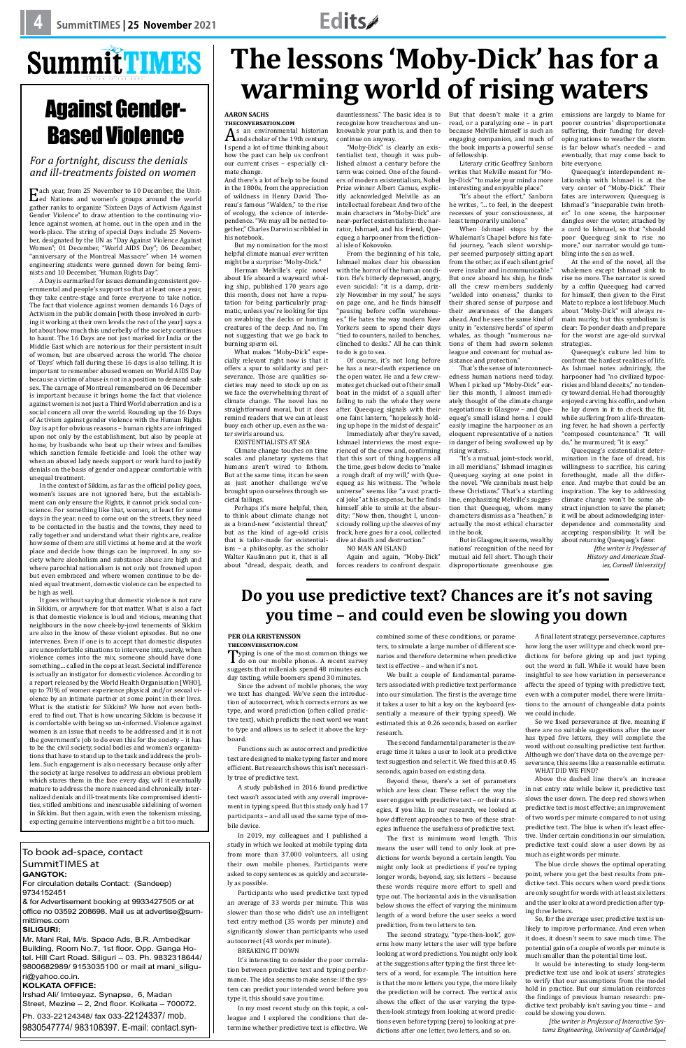#### To book ad-space, contact SummitTimes at GANGTOK:



For circulation details Contact: (Sandeep) 9734152451

& for Advertisement booking at 9933427505 or at office no 03592 208698. Mail us at advertise@summittimes.com

#### **Siliguri:**

Mr. Mani Rai, M/s. Space Ads, B.R. Ambedkar Building, Room No.7, 1st floor. Opp. Ganga Hotel. Hill Cart Road. Siliguri – 03. Ph. 9832318644/ 9800682989/ 9153035100 or mail at mani\_siliguri@yahoo.co.in.

#### **Kolkata office:**

Irshad Ali/ Imteeyaz. Synapse, 6, Madan Street, Mezine – 2, 2nd floor. Kolkata – 700072. Ph. 033-22124348/ fax 033-22124337/ mob. 9830547774/ 983108397. E-mail: contact.syn-

**Example 10 December 10 December, the Unit-**<br>Ed Nations and women's groups around the world<br>gather ranks to organize "Sixteen Days of Activism Against gather ranks to organize "Sixteen Days of Activism Against Gender Violence" to draw attention to the continuing violence against women, at home, out in the open and in the work-place. The string of special Days include 25 November, designated by the UN as "Day Against Violence Against Women"; 01 December, "World AIDS Day"; 06 December, "anniversary of the Montreal Massacre" when 14 women engineering students were gunned down for being feminists and 10 December, "Human Rights Day".

## Against Gender-Based Violence

#### *For a fortnight, discuss the denials and ill-treatments foisted on women*

A Day is earmarked for issues demanding consistent governmental and people's support so that at least once a year, they take centre-stage and force everyone to take notice. The fact that violence against women demands 16 Days of Activism in the public domain [with those involved in curbing it working at their own levels the rest of the year] says a lot about how much this underbelly of the society continues to haunt. The 16 Days are not just marked for India or the Middle East which are notorious for their persistent insult of women, but are observed across the world. The choice of 'Days' which fall during these 16 days is also telling. It is important to remember abused women on World AIDS Day because a victim of abuse is not in a position to demand safe sex. The carnage of Montreal remembered on 06 December is important because it brings home the fact that violence against women is not just a Third World aberration and is a social concern all over the world. Rounding up the 16 Days of Activism against gender violence with the Human Rights Day is apt for obvious reasons – human rights are infringed upon not only by the establishment, but also by people at home, by husbands who beat up their wives and families which sanction female foeticide and look the other way when an abused lady needs support or work hard to justify denials on the basis of gender and appear comfortable with unequal treatment.

**THECONVERSATION.COM**<br> **A** s an environmental historian  $A<sup>s</sup>$  an environmental instorian<br>I spend a lot of time thinking about I spend a lot of time thinking about how the past can help us confront our current crises – especially climate change.

In the context of Sikkim, as far as the official policy goes, women's issues are not ignored here, but the establishment can only ensure the Rights, it cannot prick social conscience. For something like that, women, at least for some days in the year, need to come out on the streets, they need to be contacted in the bastis and the towns, they need to rally together and understand what their rights are, realize how some of them are still victims at home and at the work place and decide how things can be improved. In any society where alcoholism and substance abuse are high and where parochial nationalism is not only not frowned upon but even embraced and where women continue to be denied equal treatment, domestic violence can be expected to be high as well.

It goes without saying that domestic violence is not rare in Sikkim, or anywhere for that matter. What is also a fact is that domestic violence is loud and vicious, meaning that neighbours in the now cheek-by-jowl tenements of Sikkim are also in the know of these violent episodes. But no one intervenes. Even if one is to accept that domestic disputes are uncomfortable situations to intervene into, surely, when violence comes into the mix, someone should have done something… called in the cops at least. Societal indifference is actually an instigator for domestic violence. According to a report released by the World Health Organisation [WHO], up to 70% of women experience physical and/or sexual violence by an intimate partner at some point in their lives. What is the statistic for Sikkim? We have not even bothered to find out. That is how uncaring Sikkim is because it is comfortable with being so un-informed. Violence against women is an issue that needs to be addressed and it is not the government's job to do even this for the society – it has to be the civil society, social bodies and women's organizations that have to stand up to the task and address the problem. Such engagement is also necessary because only after the society at large resolves to address an obvious problem which stares them in the face every day, will it eventually mature to address the more nuanced and chronically internalized denials and ill-treatments like compromised identities, stifled ambitions and inexcusable sidelining of women in Sikkim. But then again, with even the tokenism missing, expecting genuine interventions might be a bit too much.

# **The lessons 'Moby-Dick' has for a warming world of rising waters**

## **Aaron Sachs**

And there's a lot of help to be found in the 1800s, from the appreciation of wildness in Henry David Thoreau's famous "Walden," to the rise of ecology, the science of interdependence. "We may all be netted together," Charles Darwin scribbled in his notebook.

by-Dick To make your mind a more Trationship with Tshmael 1st at the Queequeg's interdependent revery center of "Moby-Dick." Their fates are interwoven; Queequeg is Ishmael's "inseparable twin brother." In one scene, the harpooner dangles over the water, attached by a cord to Ishmael, so that "should poor Queequeg sink to rise no more," our narrator would go tumbling into the sea as well.

But my nomination for the most helpful climate manual ever written might be a surprise: "Moby-Dick."

Herman Melville's epic novel about life aboard a wayward whaling ship, published 170 years ago this month, does not have a reputation for being particularly pragmatic, unless you're looking for tips on swabbing the decks or hunting creatures of the deep. And no, I'm not suggesting that we go back to burning sperm oil.

What makes "Moby-Dick" especially relevant right now is that it offers a spur to solidarity and perseverance. Those are qualities societies may need to stock up on as we face the overwhelming threat of climate change. The novel has no straightforward moral, but it does remind readers that we can at least buoy each other up, even as the water swirls around us.

The Uyping is one of the most common things we<br>do on our mobile phones. A recent survey<br>suggests that millenials spend 48 minutes each suggests that millenials spend 48 minutes each day texting, while boomers spend 30 minutes.

EXISTENTIALISTS AT SEA

Climate change touches on time scales and planetary systems that humans aren't wired to fathom. But at the same time, it can be seen as just another challenge we've brought upon ourselves through societal failings.

Perhaps it's more helpful, then, to think about climate change not as a brand-new "existential threat," but as the kind of age-old crisis that is tailor-made for existentialism – a philosophy, as the scholar Walter Kaufmann put it, that is all about "dread, despair, death, and

dauntlessness." The basic idea is to recognize how treacherous and unknowable your path is, and then to continue on anyway.

"Moby-Dick" is clearly an existentialist text, though it was published almost a century before the term was coined. One of the founders of modern existentialism, Nobel Prize winner Albert Camus, explicitly acknowledged Melville as an intellectual forebear. And two of the main characters in "Moby-Dick" are near-perfect existentialists: the narrator, Ishmael, and his friend, Queequeg, a harpooner from the fictional isle of Kokovoko.

From the beginning of his tale, Ishmael makes clear his obsession with the horror of the human condition. He's bitterly depressed, angry, even suicidal: "it is a damp, drizzly November in my soul," he says on page one, and he finds himself "pausing before coffin warehouses." He hates the way modern New Yorkers seem to spend their days "tied to counters, nailed to benches, clinched to desks." All he can think to do is go to sea.

Of course, it's not long before he has a near-death experience on the open water. He and a few crewmates get chucked out of their small boat in the midst of a squall after failing to nab the whale they were after. Queequeg signals with their one faint lantern, "hopelessly holding up hope in the midst of despair." Immediately after they're saved, Ishmael interviews the most experienced of the crew and, confirming that this sort of thing happens all the time, goes below decks to "make a rough draft of my will," with Queequeg as his witness. The "whole universe" seems like "a vast practical joke" at his expense, but he finds

himself able to smile at the absurdity: "Now then, thought I, unconsciously rolling up the sleeves of my frock, here goes for a cool, collected dive at death and destruction."

NO MAN AN ISLAND Again and again, "Moby-Dick" forces readers to confront despair. But that doesn't make it a grim read, or a paralyzing one – in part because Melville himself is such an engaging companion, and much of the book imparts a powerful sense of fellowship.

Literary critic Geoffrey Sanborn writes that Melville meant for "Mointeresting and enjoyable place."

"It's about the effort," Sanborn he writes, "… to feel, in the deepest recesses of your consciousness, at least temporarily unalone."

When Ishmael stops by the Whaleman's Chapel before his fateful journey, "each silent worshipper seemed purposely sitting apart from the other, as if each silent grief were insular and incommunicable." But once aboard his ship, he finds all the crew members suddenly "welded into oneness," thanks to their shared sense of purpose and their awareness of the dangers ahead. And he sees the same kind of unity in "extensive herds" of sperm whales, as though "numerous nations of them had sworn solemn league and covenant for mutual assistance and protection."

That's the sense of interconnectedness human nations need today. When I picked up "Moby-Dick" earlier this month, I almost immediately thought of the climate change negotiations in Glasgow – and Queequeg's small island home. I could easily imagine the harpooner as an eloquent representative of a nation in danger of being swallowed up by rising waters.

"It's a mutual, joint-stock world, in all meridians," Ishmael imagines Queequeg saying at one point in the novel. "We cannibals must help these Christians." That's a startling line, emphasizing Melville's suggestion that Queequeg, whom many characters dismiss as a "heathen," is actually the most ethical character in the book.

But in Glasgow, it seems, wealthy nations' recognition of the need for mutual aid fell short. Though their disproportionate greenhouse gas

emissions are largely to blame for poorer countries' disproportionate suffering, their funding for developing nations to weather the storm is far below what's needed – and eventually, that may come back to bite everyone.

At the end of the novel, all the whalemen except Ishmael sink to rise no more. The narrator is saved by a coffin Queequeg had carved for himself, then given to the First Mate to replace a lost lifebuoy. Much about "Moby-Dick" will always remain murky, but this symbolism is clear: To ponder death and prepare for the worst are age-old survival strategies.

Queequeg's culture led him to confront the hardest realities of life. As Ishmael notes admiringly, the harpooner had "no civilized hypocrisies and bland deceits," no tendency toward denial. He had thoroughly enjoyed carving his coffin, and when he lay down in it to check the fit, while suffering from a life-threatening fever, he had shown a perfectly "composed countenance." "It will do," he murmured; "it is easy."

Queequeg's existentialist determination in the face of dread, his willingness to sacrifice, his caring forethought, made all the difference. And maybe that could be an inspiration. The key to addressing climate change won't be some abstract injunction to save the planet; it will be about acknowledging interdependence and commonality and accepting responsibility. It will be about returning Queequeg's favor.

*[the writer is Professor of History and American Studies, Cornell University]*

## **Do you use predictive text? Chances are it's not saving you time – and could even be slowing you down**

**Per Ola Kristensson**

#### **theconversation.com**

Since the advent of mobile phones, the way we text has changed. We've seen the introduction of autocorrect, which corrects errors as we type, and word prediction (often called predictive text), which predicts the next word we want to type and allows us to select it above the keyboard.

Functions such as autocorrect and predictive text are designed to make typing faster and more efficient. But research shows this isn't necessarily true of predictive text.

A study published in 2016 found predictive text wasn't associated with any overall improvement in typing speed. But this study only had 17 participants – and all used the same type of mobile device.

In 2019, my colleagues and I published a study in which we looked at mobile typing data from more than 37,000 volunteers, all using their own mobile phones. Participants were asked to copy sentences as quickly and accurately as possible.

Participants who used predictive text typed an average of 33 words per minute. This was slower than those who didn't use an intelligent text entry method (35 words per minute) and significantly slower than participants who used autocorrect (43 words per minute).

#### BREAKING IT DOWN

It's interesting to consider the poor correlation between predictive text and typing performance. The idea seems to make sense: if the system can predict your intended word before you type it, this should save you time.

In my most recent study on this topic, a colleague and I explored the conditions that determine whether predictive text is effective. We

ters, to simulate a large number of different scenarios and therefore determine when predictive text is effective – and when it's not.

We built a couple of fundamental parameters associated with predictive text performance into our simulation. The first is the average time it takes a user to hit a key on the keyboard (essentially a measure of their typing speed). We estimated this at 0.26 seconds, based on earlier research.

The second fundamental parameter is the average time it takes a user to look at a predictive text suggestion and select it. We fixed this at 0.45 seconds, again based on existing data.

Beyond these, there's a set of parameters which are less clear. These reflect the way the user engages with predictive text – or their strategies, if you like. In our research, we looked at how different approaches to two of these strategies influence the usefulness of predictive text.

combined some of these conditions, or parame-A final latent strategy, perseverance, captures how long the user will type and check word predictions for before giving up and just typing out the word in full. While it would have been insightful to see how variation in perseverance affects the speed of typing with predictive text, even with a computer model, there were limitations to the amount of changeable data points we could include.

The first is minimum word length. This means the user will tend to only look at predictions for words beyond a certain length. You might only look at predictions if you're typing longer words, beyond, say, six letters – because these words require more effort to spell and type out. The horizontal axis in the visualisation below shows the effect of varying the minimum length of a word before the user seeks a word prediction, from two letters to ten.

The second strategy, "type-then-look", governs how many letters the user will type before looking at word predictions. You might only look at the suggestions after typing the first three letters of a word, for example. The intuition here is that the more letters you type, the more likely the prediction will be correct. The vertical axis shows the effect of the user varying the typethen-look strategy from looking at word predictions even before typing (zero) to looking at predictions after one letter, two letters, and so on.

So we fixed perseverance at five, meaning if there are no suitable suggestions after the user has typed five letters, they will complete the word without consulting predictive text further. Although we don't have data on the average perseverance, this seems like a reasonable estimate. WHAT DID WE FIND?

Above the dashed line there's an increase in net entry rate while below it, predictive text slows the user down. The deep red shows when predictive text is most effective; an improvement of two words per minute compared to not using predictive text. The blue is when it's least effective. Under certain conditions in our simulation, predictive text could slow a user down by as much as eight words per minute.

The blue circle shows the optimal operating point, where you get the best results from predictive text. This occurs when word predictions are only sought for words with at least six letters and the user looks at a word prediction after typing three letters.

So, for the average user, predictive text is unlikely to improve performance. And even when it does, it doesn't seem to save much time. The potential gain of a couple of words per minute is much smaller than the potential time lost.

It would be interesting to study long-term predictive text use and look at users' strategies to verify that our assumptions from the model hold in practice. But our simulation reinforces the findings of previous human research: predictive text probably isn't saving you time – and could be slowing you down.

*[the writer is Professor of Interactive Systems Engineering, University of Cambridge]*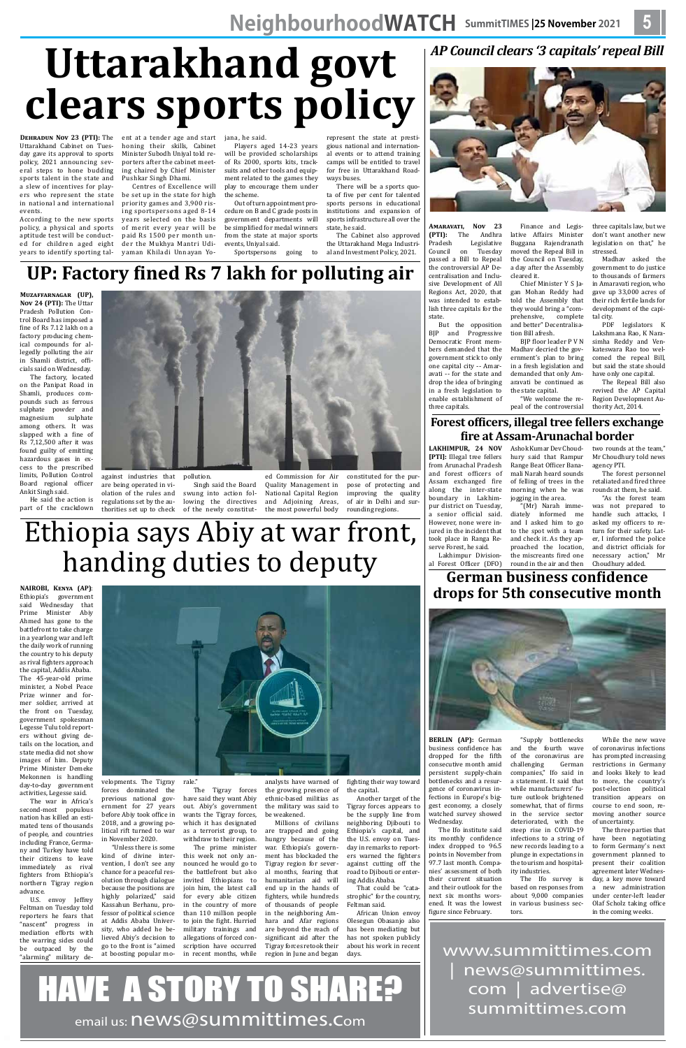# Have a story to share? email us: news@summittimes.com

www.summittimes.com | news@summittimes. com | advertise@ summittimes.com

# **Uttarakhand govt clears sports policy**

**Dehradun Nov 23 (PTI):** The ent at a tender age and start jana, he said. Uttarakhand Cabinet on Tuesday gave its approval to sports policy, 2021 announcing several steps to hone budding sports talent in the state and a slew of incentives for players who represent the state in national and international events.

According to the new sports policy, a physical and sports aptitude test will be conducted for children aged eight

honing their skills, Cabinet Minister Subodh Uniyal told reporters after the cabinet meeting chaired by Chief Minister Pushkar Singh Dhami.

years to identify sporting tal-yaman Khiladi Unnayan Yo-Centres of Excellence will be set up in the state for high priority games and 3,900 rising sportspersons aged 8-14 years selected on the basis of merit every year will be paid Rs 1500 per month under the Mukhya Mantri Udi-

Players aged 14-23 years will be provided scholarships of Rs 2000, sports kits, tracksuits and other tools and equipment related to the games they play to encourage them under the scheme.

Out of turn appointment procedure on B and C grade posts in government departments will be simplified for medal winners from the state at major sports events, Uniyal said.

represent the state at prestigious national and international events or to attend training camps will be entitled to travel for free in Uttarakhand Roadways buses.

Sportspersons going to al and Investment Policy, 2021.

There will be a sports quota of five per cent for talented sports persons in educational institutions and expansion of sports infrastructure all over the state, he said.

The Cabinet also approved the Uttarakhand Mega Industri-

## **UP: Factory fined Rs 7 lakh for polluting air Muzaffarnagar (UP),**

**Nov 24 (PTI):** The Uttar Pradesh Pollution Control Board has imposed a fine of Rs 7.12 lakh on a factory producing chemical compounds for allegedly polluting the air in Shamli district, officials said on Wednesday.

The factory, located on the Panipat Road in Shamli, produces compounds such as ferrous sulphate powder and magnesium sulphate among others. It was slapped with a fine of Rs 7,12,500 after it was found guilty of emitting hazardous gases in excess to the prescribed limits, Pollution Control Board regional officer Ankit Singh said.

He said the action is part of the crackdown



constituted for the purpose of protecting and improving the quality of air in Delhi and sur-

# Ethiopia says Abiy at war front, handing duties to deputy

**NAIROBI, Kenya (AP)**: Ethiopia's government said Wednesday that Prime Minister Abiy Ahmed has gone to the battlefront to take charge in a yearlong war and left

the daily work of running the country to his deputy as rival fighters approach the capital, Addis Ababa. The 45-year-old prime minister, a Nobel Peace Prize winner and former soldier, arrived at the front on Tuesday, government spokesman Legesse Tulu told reporters without giving details on the location, and state media did not show images of him. Deputy Prime Minister Demeke Mekonnen is handling day-to-day government activities, Legesse said.

The war in Africa's second-most populous nation has killed an estimated tens of thousands of people, and countries including France, Germany and Turkey have told their citizens to leave immediately as rival fighters from Ethiopia's northern Tigray region advance.

U.S. envoy Jeffrey Feltman on Tuesday told reporters he fears that "nascent" progress in mediation efforts with the warring sides could be outpaced by the "alarming" military de-

velopments. The Tigray rale."

forces dominated the previous national government for 27 years before Abiy took office in 2018, and a growing political rift turned to war in November 2020. The Tigray forces have said they want Abiy out. Abiy's government wants the Tigray forces, which it has designated as a terrorist group, to withdraw to their region.

"Unless there is some kind of divine intervention, I don't see any chance for a peaceful resolution through dialogue because the positions are highly polarized," said Kassahun Berhanu, professor of political science at Addis Ababa University, who added he believed Abiy's decision to go to the front is "aimed at boosting popular mo-The prime minister this week not only announced he would go to the battlefront but also invited Ethiopians to join him, the latest call for every able citizen in the country of more than 110 million people to join the fight. Hurried military trainings and allegations of forced conscription have occurred in recent months, while

analysts have warned of the growing presence of ethnic-based militias as the military was said to be weakened.

Millions of civilians are trapped and going hungry because of the war. Ethiopia's government has blockaded the Tigray region for several months, fearing that humanitarian aid will end up in the hands of fighters, while hundreds of thousands of people in the neighboring Amhara and Afar regions are beyond the reach of significant aid after the Tigray forces retook their region in June and began

fighting their way toward the capital.

Another target of the Tigray forces appears to be the supply line from neighboring Djibouti to Ethiopia's capital, and the U.S. envoy on Tuesday in remarks to reporters warned the fighters against cutting off the road to Djibouti or entering Addis Ababa. That could be "cata-

strophic" for the country, Feltman said.

African Union envoy Olesegun Obasanjo also has been mediating but has not spoken publicly about his work in recent days.



**Amaravati, Nov 23 (PTI):** The Andhra Legislative Council on Tuesday passed a Bill to Repeal the controversial AP Decentralisation and Inclusive Development of All Regions Act, 2020, that was intended to establish three capitals for the state.

But the opposition BJP and Progressive Democratic Front members demanded that the government stick to only one capital city -- Amaravati -- for the state and drop the idea of bringing in a fresh legislation to enable establishment of three capitals.

Finance and Legislative Affairs Minister Buggana Rajendranath moved the Repeal Bill in the Council on Tuesday, a day after the Assembly cleared it.

Chief Minister Y S Jagan Mohan Reddy had told the Assembly that they would bring a "comprehensive, complete and better" Decentralisation Bill afresh.

BJP floor leader P V N Madhav decried the government's plan to bring in a fresh legislation and demanded that only Amaravati be continued as the state capital.

"We welcome the re-

three capitals law, but we

don't want another new legislation on that," he stressed. Madhav asked the government to do justice to thousands of farmers

in Amaravati region, who gave up 33,000 acres of their rich fertile lands for development of the capital city.

peal of the controversial thority Act, 2014. The Repeal Bill also revived the AP Capital Region Development Au-

PDF legislators K Lakshmana Rao, K Narasimha Reddy and Venkateswara Rao too welcomed the repeal Bill, but said the state should have only one capital.

#### **Forest officers, illegal tree fellers exchange fire at Assam-Arunachal border**

**Lakhimpur, 24 Nov [PTI]:** Illegal tree fellers from Arunachal Pradesh and forest officers of Assam exchanged fire along the inter-state boundary in Lakhimpur district on Tuesday, a senior official said. However, none were injured in the incident that took place in Ranga Reserve Forest, he said.

Lakhimpur Divisional Forest Officer (DFO)

Ashok Kumar Dev Choudhury said that Rampur Range Beat Officer Banamali Narah heard sounds of felling of trees in the morning when he was

jogging in the area. "(Mr) Narah immediately informed me and I asked him to go to the spot with a team and check it. As they approached the location, the miscreants fired one

two rounds at the team," Mr Choudhury told news agency PTI.

The forest personnel retaliated and fired three rounds at them, he said.

## round in the air and then Choudhury added. **German business confidence**

"As the forest team was not prepared to handle such attacks, I asked my officers to return for their safety. Later, I informed the police and district officials for necessary action," Mr

**drops for 5th consecutive month**





The Ifo institute said its monthly confidence index dropped to 96.5 points in November from 97.7 last month. Companies' assessment of both their current situation and their outlook for the next six months worsened. It was the lowest figure since February.

"Supply bottlenecks and the fourth wave of the coronavirus are<br>challenging German companies," Ifo said in a statement. It said that while manufacturers' future outlook brightened somewhat, that of firms in the service sector deteriorated, with the steep rise in COVID-19 infections to a string of new records leading to a

plunge in expectations in the tourism and hospital-

ity industries.

The Ifo survey is based on responses from about 9,000 companies in various business sec-

tors.

While the new wave of coronavirus infections has prompted increasing restrictions in Germany and looks likely to lead to more, the country's post-election political transition appears on course to end soon, removing another source of uncertainty.

The three parties that have been negotiating to form Germany's next government planned to present their coalition agreement later Wednesday, a key move toward a new administration under center-left leader Olaf Scholz taking office in the coming weeks.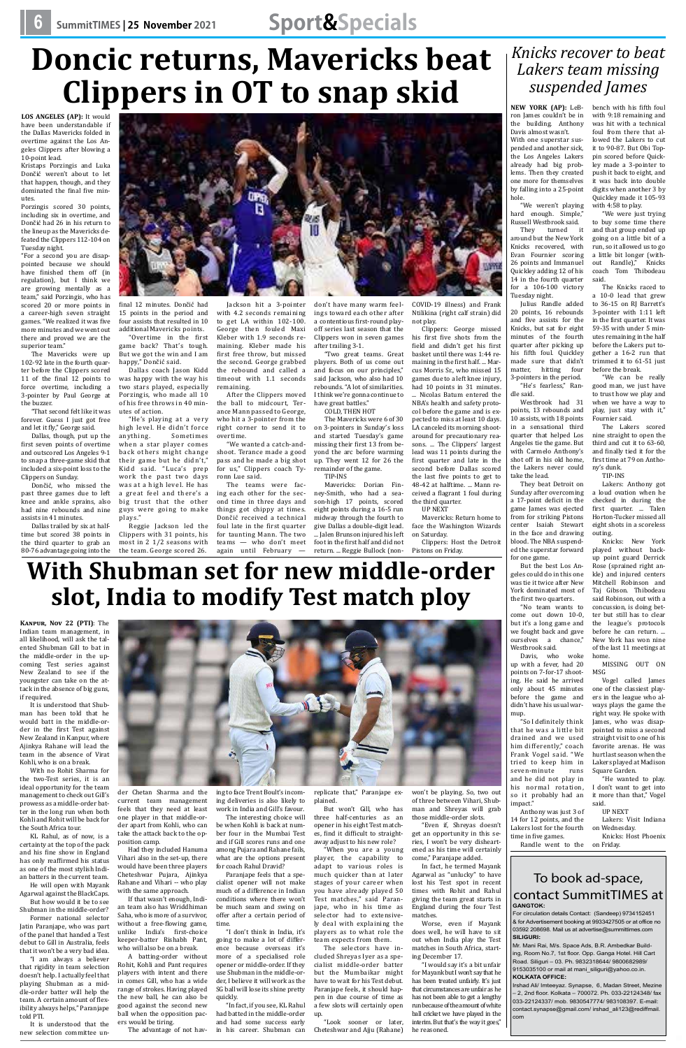**6 SummitTIMES | 25 November 2021**

#### To book ad-space, contact SummitTimes at GANGTOK:

For circulation details Contact: (Sandeep) 9734152451 & for Advertisement booking at 9933427505 or at office no 03592 208698. Mail us at advertise@summittimes.com **Siliguri:**

Mr. Mani Rai, M/s. Space Ads, B.R. Ambedkar Building, Room No.7, 1st floor. Opp. Ganga Hotel. Hill Cart Road. Siliguri – 03. Ph. 9832318644/ 9800682989/ 9153035100 or mail at mani\_siliguri@yahoo.co.in. **Kolkata office:**

Irshad Ali/ Imteeyaz. Synapse, 6, Madan Street, Mezine – 2, 2nd floor. Kolkata – 700072. Ph. 033-22124348/ fax 033-22124337/ mob. 9830547774/ 983108397. E-mail: contact.synapse@gmail.com/ irshad\_ali123@rediffmail. com

# **Doncic returns, Mavericks beat Clippers in OT to snap skid**

**LOS ANGELES (AP):** It would have been understandable if the Dallas Mavericks folded in overtime against the Los Angeles Clippers after blowing a 10-point lead.

Kristaps Porzingis and Luka Dončić weren't about to let that happen, though, and they dominated the final five minutes.

Porzingis scored 30 points, including six in overtime, and Dončić had 26 in his return to the lineup as the Mavericks defeated the Clippers 112-104 on Tuesday night.

"For a second you are disappointed because we should have finished them off (in regulation), but I think we are growing mentally as a team," said Porzingis, who has scored 20 or more points in a career-high seven straight games. "We realized it was five more minutes and we went out there and proved we are the superior team."

The Mavericks were up 102-92 late in the fourth quarter before the Clippers scored 11 of the final 12 points to force overtime, including a 3-pointer by Paul George at the buzzer.

"That second felt like it was forever. Guess I just got free and let it fly," George said.

Dallas, though, put up the first seven points of overtime and outscored Los Angeles 9-1 to snap a three-game skid that included a six-point loss to the Clippers on Sunday.

Dončić, who missed the past three games due to left knee and ankle sprains, also had nine rebounds and nine assists in 41 minutes.

Dallas trailed by six at halftime but scored 38 points in the third quarter to grab an 80-76 advantage going into the



final 12 minutes. Dončić had 15 points in the period and four assists that resulted in 10 additional Mavericks points.

"Overtime in the first game back? That's tough. But we got the win and I am happy," Dončić said.

Dallas coach Jason Kidd was happy with the way his two stars played, especially Porzingis, who made all 10 of his free throws in 40 minutes of action.

"He's playing at a very high level. He didn't force<br>anything. Sometimes anything. Sometimes when a star player comes back others might change their game but he didn't," Kidd said. "Luca's prep work the past two days was at a high level. He has a great feel and there's a big trust that the other guys were going to make plays."

Reggie Jackson led the Clippers with 31 points, his most in 2 1/2 seasons with the team. George scored 26.

Jackson hit a 3-pointer with 4.2 seconds remaining to get LA within 102-100. George then fouled Maxi Kleber with 1.9 seconds remaining. Kleber made his first free throw, but missed the second. George grabbed the rebound and called a timeout with 1.1 seconds remaining.

After the Clippers moved the ball to midcourt, Terance Mann passed to George, who hit a 3-pointer from the right corner to send it to overtime.

"We wanted a catch-andshoot. Terance made a good pass and he made a big shot for us," Clippers coach Tyronn Lue said.

The teams were facing each other for the second time in three days and things got chippy at times. Dončić received a technical foul late in the first quarter for taunting Mann. The two teams — who don't meet again until February —

don't have many warm feelings toward each other after a contentious first-round playoff series last season that the Clippers won in seven games after trailing 3-1.

"Two great teams. Great players. Both of us come out and focus on our principles," said Jackson, who also had 10 rebounds. "A lot of similarities. I think we're gonna continue to have great battles." COLD, THEN HOT

The Mavericks were 6 of 30 on 3-pointers in Sunday's loss and started Tuesday's game missing their first 13 from beyond the arc before warming up. They went 12 for 26 the remainder of the game. TIP-INS

Mavericks: Dorian Finney-Smith, who had a season-high 17 points, scored eight points during a 16-5 run midway through the fourth to give Dallas a double-digit lead. ... Jalen Brunson injured his left foot in the first half and did not return. ... Reggie Bullock (non-

COVID-19 illness) and Frank Ntilikina (right calf strain) did not play.

Clippers: George missed his first five shots from the field and didn't get his first basket until there was 1:44 remaining in the first half. ... Marcus Morris Sr., who missed 15 games due to a left knee injury, had 10 points in 31 minutes. ... Nicolas Batum entered the NBA's health and safety protocol before the game and is expected to miss at least 10 days. LA canceled its morning shootaround for precautionary reasons. ... The Clippers' largest lead was 11 points during the first quarter and late in the second before Dallas scored the last five points to get to 48-42 at halftime. ... Mann received a flagrant 1 foul during the third quarter.

UP NEXT

Mavericks: Return home to face the Washington Wizards on Saturday.

Clippers: Host the Detroit Pistons on Friday.

# **With Shubman set for new middle-order slot, India to modify Test match ploy**

**Kanpur, Nov 22 (PTI)**: The Indian team management, in all likelihood, will ask the talented Shubman Gill to bat in the middle-order in the upcoming Test series against New Zealand to see if the youngster can take on the attack in the absence of big guns, if required. It is understood that Shubman has been told that he would batt in the middle-order in the first Test against New Zealand in Kanpur, where Ajinkya Rahane will lead the team in the absence of Virat Kohli, who is on a break. With no Rohit Sharma for the two-Test series, it is an ideal opportunity for the team management to check out Gill's prowess as a middle-order batter in the long run when both Kohli and Rohit will be back for the South Africa tour. KL Rahul, as of now, is a certainty at the top of the pack and his fine show in England has only reaffirmed his status as one of the most stylish Indian batters in the current team.



He will open with Mayank Agarwal against the BlackCaps. But how would it be to see

Shubman in the middle-order? Former national selector Jatin Paranjape, who was part of the panel that handed a Test

debut to Gill in Australia, feels that it won't be a very bad idea. "I am always a believer that rigidity in team selection doesn't help. I actually feel that

playing Shubman as a middle-order batter will help the team. A certain amount of flexibility always helps," Paranjape told PTI.

It is understood that the new selection committee un-

der Chetan Sharma and the current team management feels that they need at least one player in that middle-order apart from Kohli, who can take the attack back to the opposition camp.

Had they included Hanuma Vihari also in the set-up, there would have been three players Cheteshwar Pujara, Ajinkya Rahane and Vihari -- who play with the same approach.

If that wasn't enough, Indian team also has Wriddhiman Saha, who is more of a survivor, without a free-flowing game, unlike India's first-choice keeper-batter Rishabh Pant, who will also be on a break.

A batting-order without Rohit, Kohli and Pant requires players with intent and there in comes Gill, who has a wide range of strokes. Having played the new ball, he can also be good against the second new ball when the opposition pacers would be tiring.

The advantage of not hav-

ing to face Trent Boult's incoming deliveries is also likely to work in India and Gill's favour.

The interesting choice will be when Kohli is back at number four in the Mumbai Test and if Gill scores runs and one among Pujara and Rahane fails, what are the options present for coach Rahul Dravid?

Paranjape feels that a specialist opener will not make much of a difference in Indian conditions where there won't be much seam and swing on offer after a certain period of time.

"I don't think in India, it's going to make a lot of difference because overseas it's more of a specialised role opener or middle-order. If they use Shubman in the middle-order, I believe it will work as the SG ball will lose its shine pretty quickly.

"In fact, if you see, KL Rahul had batted in the middle-order and had some success early in his career. Shubman can replicate that," Paranjape explained.

But won't Gill, who has three half-centuries as an opener in his eight Test matches, find it difficult to straightaway adjust to his new role?

"When you are a young player, the capability to adapt to various roles is much quicker than at later stages of your career when you have already played 50 Test matches," said Paranjape, who in his time as selector had to extensively deal with explaining the players as to what role the team expects from them.

The selectors have included Shreyas Iyer as a specialist middle-order batter but the Mumbaikar might have to wait for his Test debut. Paranjape feels, it should happen in due course of time as a few slots will certainly open up.

"Look sooner or later, Cheteshwar and Ajju (Rahane)

won't be playing. So, two out of three between Vihari, Shubman and Shreyas will grab those middle-order slots.

"Even if, Shreyas doesn't get an opportunity in this series, I won't be very disheartened as his time will certainly come," Paranjape added.

In fact, he termed Mayank Agarwal as "unlucky" to have lost his Test spot in recent times with Rohit and Rahul giving the team great starts in England during the four Test matches.

Worse, even if Mayank does well, he will have to sit out when India play the Test matches in South Africa, starting December 17.

"I would say it's a bit unfair for Mayank but I won't say that he has been treated unfairly. It's just that circumstances are unfair as he has not been able to get a lengthy run because of the amount of white ball cricket we have played in the interim. But that's the way it goes," he reasoned.

## *Knicks recover to beat Lakers team missing suspended James*

**NEW YORK (AP):** LeBron James couldn't be in the building. Anthony

Davis almost wasn't. With one superstar suspended and another sick, the Los Angeles Lakers already had big problems. Then they created one more for themselves by falling into a 25-point hole.

"We weren't playing hard enough. Simple," Russell Westbrook said.

They turned it around but the New York Knicks recovered, with Evan Fournier scoring 26 points and Immanuel Quickley adding 12 of his 14 in the fourth quarter for a 106-100 victory Tuesday night.

Julius Randle added 20 points, 16 rebounds and five assists for the Knicks, but sat for eight minutes of the fourth quarter after picking up his fifth foul. Quickley made sure that didn't matter, hitting four 3-pointers in the period. "He's fearless," Ran-

dle said. Westbrook had 31 points, 13 rebounds and 10 assists, with 18 points in a sensational third quarter that helped Los Angeles tie the game. But with Carmelo Anthony's shot off in his old home, the Lakers never could take the lead.

They beat Detroit on Sunday after overcoming a 17-point deficit in the game James was ejected from for striking Pistons center Isaiah Stewart in the face and drawing blood. The NBA suspended the superstar forward for one game.

But the best Los Angeles could do in this one was tie it twice after New York dominated most of the first two quarters. "No team wants to

bench with his fifth foul with 9:18 remaining and was hit with a technical foul from there that allowed the Lakers to cut it to 90-87. But Obi Toppin scored before Quickley made a 3-pointer to push it back to eight, and it was back into double digits when another 3 by Quickley made it 105-93 with 4:58 to play. "We were just trying

to buy some time there and that group ended up going on a little bit of a run, so it allowed us to go a little bit longer (without Randle)," Knicks coach Tom Thibodeau said.

The Knicks raced to a 10-0 lead that grew to 36-15 on RJ Barrett's 3-pointer with 1:11 left in the first quarter. It was 59-35 with under 5 minutes remaining in the half before the Lakers put together a 16-2 run that trimmed it to 61-51 just before the break.

come out down 10-0, but it's a long game and we fought back and gave ourselves a chance Westbrook said. Davis, who woke up with a fever, had 20 points on 7-for-17 shooting. He said he arrived only about 45 minutes before the game and didn't have his usual warmup. "So I definitely think that he was a little bit drained and we used him differently," coach Frank Vogel said. "We tried to keep him in seven-minute and he did not play in his normal rotation, so it probably had an impact." Anthony was just 3 of 14 for 12 points, and the Lakers lost for the fourth time in five games. Randle went to the home. said. Lakers: Visit Indiana on Wednesday. Knicks: Host Phoenix on Friday.

"We can be really good man, we just have to trust how we play and when we have a way to play, just stay with it," Fournier said.

The Lakers scored nine straight to open the third and cut it to 63-60, and finally tied it for the first time at 79 on Anthony's dunk. TIP-INS

Lakers: Anthony got a loud ovation when he checked in during the first quarter. ... Talen Horton-Tucker missed all eight shots in a scoreless outing. Knicks: New York played without back-

up point guard Derrick Rose (sprained right ankle) and injured centers Mitchell Robinson and Taj Gibson. Thibodeau said Robinson, out with a concussion, is doing better but still has to clear the league's protocols before he can return. ... New York has won nine of the last 11 meetings at

MISSING OUT ON MSG

> Vogel called James one of the classiest players in the league who always plays the game the right way. He spoke with James, who was disappointed to miss a second straight visit to one of his favorite arenas. He was hurt last season when the Lakers played at Madison Square Garden.

"He wanted to play. I don't want to get into it more than that," Vogel

UP NEXT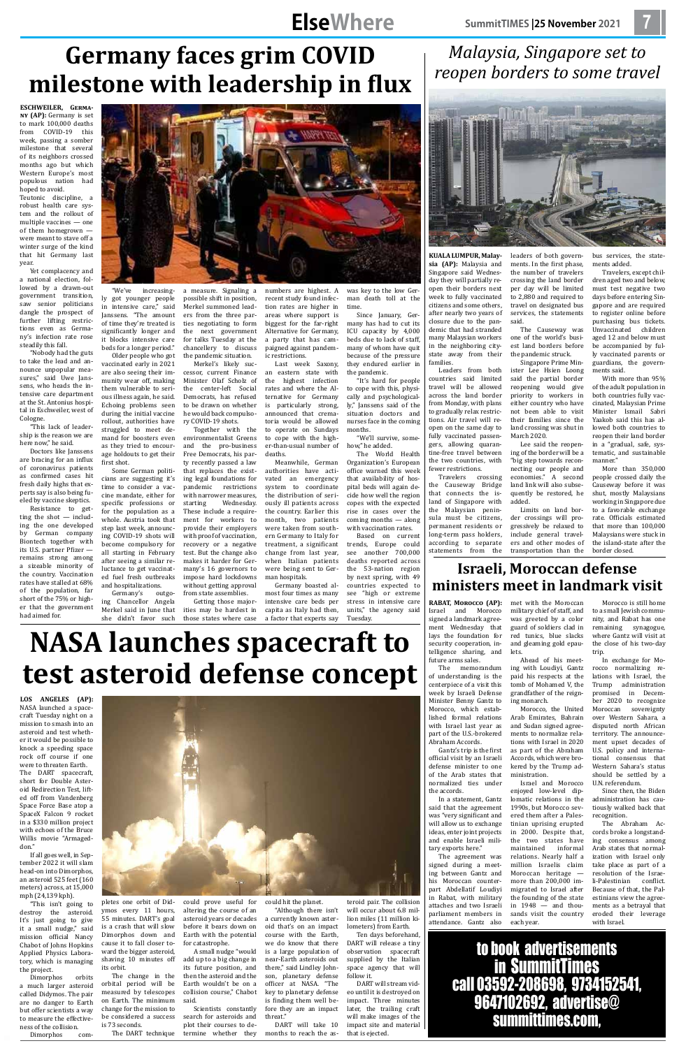to book advertisements in SummitTimes call 03592-208698, 9734152541, 964/102692, advertise $\omega$ summittimes.com,

## **ElseWhere**

# **Germany faces grim COVID milestone with leadership in flux**

**ESCHWEILER, Germany (AP):** Germany is set to mark 100,000 deaths from COVID-19 this week, passing a somber milestone that several of its neighbors crossed months ago but which Western Europe's most populous nation had hoped to avoid.

Teutonic discipline, a robust health care system and the rollout of multiple vaccines — one of them homegrown were meant to stave off a winter surge of the kind that hit Germany last year.

Yet complacency and a national election, followed by a drawn-out government transition, saw senior politicians dangle the prospect of further lifting restrictions even as Germany's infection rate rose steadily this fall.

"Nobody had the guts to take the lead and announce unpopular measures," said Uwe Janssens, who heads the intensive care department at the St. Antonius hospital in Eschweiler, west of Cologne.

"This lack of leadership is the reason we are here now," he said.

Doctors like Janssens are bracing for an influx of coronavirus patients as confirmed cases hit fresh daily highs that experts say is also being fueled by vaccine skeptics.

Resistance to getting the shot — including the one developed by German company Biontech together with its U.S. partner Pfizer remains strong among a sizeable minority of the country. Vaccination rates have stalled at 68% of the population, far short of the 75% or higher that the government had aimed for.



"We've increasingly got younger people in intensive care," said Janssens. "The amount of time they're treated is significantly longer and it blocks intensive care beds for a longer period."

Older people who got vaccinated early in 2021 are also seeing their immunity wear off, making them vulnerable to serious illness again, he said. Echoing problems seen during the initial vaccine rollout, authorities have struggled to meet de-

mand for boosters even as they tried to encourage holdouts to get their first shot.

Some German politicians are suggesting it's time to consider a vaccine mandate, either for specific professions or for the population as a whole. Austria took that step last week, announcing COVID-19 shots will become compulsory for all starting in February after seeing a similar reluctance to get vaccinated fuel fresh outbreaks and hospitalizations.

Since January, Germany has had to cut its ICU capacity by 4,000 beds due to lack of staff, many of whom have quit because of the pressure they endured earlier in the pandemic.

Germany's outgoing Chancellor Angela Merkel said in June that she didn't favor such a measure. Signaling a possible shift in position, Merkel summoned leaders from the three parties negotiating to form the next government for talks Tuesday at the chancellery to discuss the pandemic situation.

Merkel's likely successor, current Finance Minister Olaf Scholz of the center-left Social Democrats, has refused to be drawn on whether he would back compulsory COVID-19 shots.

Together with the environmentalist Greens and the pro-business Free Democrats, his party recently passed a law

that replaces the existing legal foundations for pandemic restrictions with narrower measures,<br>starting Wednesday. Wednesday. These include a requirement for workers to provide their employers with proof of vaccination, recovery or a negative test. But the change also makes it harder for Germany's 16 governors to impose hard lockdowns without getting approval

from state assemblies. Getting those majorities may be hardest in those states where case

numbers are highest. A recent study found infection rates are higher in areas where support is biggest for the far-right Alternative for Germany, a party that has campaigned against pandemic restrictions.

Last week Saxony, an eastern state with the highest infection rates and where the Alternative for Germany is particularly strong, announced that crematoria would be allowed to operate on Sundays to cope with the higher-than-usual number of deaths.

Meanwhile, German authorities have activated an emergency system to coordinate the distribution of seriously ill patients across the country. Earlier this month, two patients were taken from southern Germany to Italy for treatment, a significant change from last year, when Italian patients were being sent to German hospitals.

Germany boasted almost four times as many intensive care beds per capita as Italy had then, a factor that experts say

was key to the low German death toll at the time.

> "It's hard for people situation doctors and "We'll survive, some-

to cope with this, physically and psychologically," Janssens said of the nurses face in the coming months.

how," he added.

The World Health Organization's European office warned this week that availability of hospital beds will again decide how well the region copes with the expected rise in cases over the coming months — along with vaccination rates.

Based on current trends, Europe could see another 700,000 deaths reported across the 53-nation region by next spring, with 49 countries expected to see "high or extreme stress in intensive care units," the agency said Tuesday.

# **NASA launches spacecraft to test asteroid defense concept**

**LOS ANGELES (AP):** NASA launched a spacecraft Tuesday night on a mission to smash into an asteroid and test whether it would be possible to knock a speeding space rock off course if one were to threaten Earth.

The DART spacecraft, short for Double Asteroid Redirection Test, lifted off from Vandenberg Space Force Base atop a SpaceX Falcon 9 rocket in a \$330 million project with echoes of the Bruce Willis movie "Armageddon."

If all goes well, in September 2022 it will slam head-on into Dimorphos, an asteroid 525 feet (160 meters) across, at 15,000 mph (24,139 kph).

"This isn't going to destroy the asteroid. It's just going to give it a small nudge," said mission official Nancy Chabot of Johns Hopkins Applied Physics Laboratory, which is managing the project.

Dimorphos orbits a much larger asteroid called Didymos. The pair are no danger to Earth but offer scientists a way to measure the effectiveness of the collision.

Dimorphos com-

pletes one orbit of Didymos every 11 hours, 55 minutes. DART's goal is a crash that will slow Dimorphos down and cause it to fall closer toward the bigger asteroid, shaving 10 minutes off its orbit.

The change in the orbital period will be measured by telescopes on Earth. The minimum change for the mission to be considered a success is 73 seconds.

The DART technique

could prove useful for altering the course of an asteroid years or decades before it bears down on Earth with the potential for catastrophe. A small nudge "would

add up to a big change in its future position, and then the asteroid and the Earth wouldn't be on a collision course," Chabot said.

Scientists constantly search for asteroids and plot their courses to de-

termine whether they

could hit the planet. "Although there isn't

a currently known asteroid that's on an impact course with the Earth, we do know that there is a large population of near-Earth asteroids out there," said Lindley Johnson, planetary defense officer at NASA. "The key to planetary defense is finding them well before they are an impact threat."

DART will take 10

months to reach the as-

teroid pair. The collision will occur about 6.8 million miles (11 million kilometers) from Earth.

Ten days beforehand,

DART will release a tiny observation spacecraft supplied by the Italian space agency that will follow it.

DART will stream video until it is destroyed on impact. Three minutes later, the trailing craft will make images of the

impact site and material

that is ejected.

## *Malaysia, Singapore set to reopen borders to some travel*



**KUALALUMPUR, Malaysia (AP):** Malaysia and Singapore said Wednesday they will partially reopen their borders next week to fully vaccinated citizens and some others, after nearly two years of closure due to the pandemic that had stranded many Malaysian workers in the neighboring citystate away from their families.

Leaders from both countries said limited travel will be allowed across the land border from Monday, with plans to gradually relax restrictions. Air travel will reopen on the same day to fully vaccinated passengers, allowing quarantine-free travel between the two countries, with fewer restrictions.

Travelers crossing the Causeway Bridge that connects the island of Singapore with the Malaysian peninsula must be citizens, permanent residents or long-term pass holders, according to separate statements from the leaders of both governments. In the first phase, the number of travelers crossing the land border per day will be limited to 2,880 and required to travel on designated bus services, the statements

said.

The Causeway was one of the world's busiest land borders before the pandemic struck.

Singapore Prime Minister Lee Hsien Loong said the partial border reopening would give priority to workers in either country who have not been able to visit their families since the land crossing was shut in

March 2020.

Lee said the reopening of the border will be a "big step towards reconnecting our people and economies." A second land link will also subsequently be restored, he

added.

Limits on land border crossings will progressively be relaxed to include general travelers and other modes of transportation than the bus services, the state-

ments added.

Travelers, except children aged two and below, must test negative two days before entering Singapore and are required to register online before purchasing bus tickets. Unvaccinated children aged 12 and below must be accompanied by fully vaccinated parents or guardians, the govern-

ments said.

With more than 95% of the adult population in both countries fully vaccinated, Malaysian Prime Minister Ismail Sabri Yaakob said this has allowed both countries to reopen their land border in a "gradual, safe, systematic, and sustainable

manner."

More than 350,000 people crossed daily the Causeway before it was shut, mostly Malaysians working in Singapore due to a favorable exchange rate. Officials estimated that more than 100,000 Malaysians were stuck in the island-state after the

border closed.

## **Israeli, Moroccan defense ministers meet in landmark visit**

security cooperation, intelligence sharing, and future arms sales.

The memorandum of understanding is the centerpiece of a visit this week by Israeli Defense Minister Benny Gantz to Morocco, which established formal relations with Israel last year as part of the U.S.-brokered Abraham Accords.

Gantz's trip is the first official visit by an Israeli defense minister to one of the Arab states that normalized ties under the accords.

In a statement, Gantz said that the agreement was "very significant and will allow us to exchange ideas, enter joint projects and enable Israeli military exports here."

The agreement was signed during a meeting between Gantz and his Moroccan counterpart Abdellatif Loudiyi in Rabat, with military attaches and two Israeli parliament members in attendance. Gantz also

**RABAT, Morocco (AP):** Israel and Morocco signed a landmark agreement Wednesday that lays the foundation for red tunics, blue slacks where Gantz will visit at

> ing with Loudiyi, Gantz paid his respects at the tomb of Mohamed V, the grandfather of the reigning monarch.

> Morocco, the United Arab Emirates, Bahrain and Sudan signed agreements to normalize relations with Israel in 2020 as part of the Abraham Accords, which were brokered by the Trump administration.

met with the Moroccan military chief of staff, and was greeted by a color nity, and Rabat has one guard of soldiers clad in remaining synagogue,

and gleaming gold epaulets. Ahead of his meetthe close of his two-day trip.

Israel and Morocco enjoyed low-level diplomatic relations in the 1990s, but Morocco severed them after a Palestinian uprising erupted in 2000. Despite that, the two states have<br>maintained informal maintained relations. Nearly half a million Israelis claim Moroccan heritage more than 200,000 im-

migrated to Israel after the founding of the state in 1948 — and thousands visit the country

each year.

Morocco is still home to a small Jewish commu-

In exchange for Morocco normalizing relations with Israel, the Trump administration promised in December 2020 to recognize Moroccan sovereignty over Western Sahara, a disputed north African territory. The announcement upset decades of U.S. policy and international consensus that Western Sahara's status should be settled by a U.N. referendum.

Since then, the Biden administration has cautiously walked back that recognition.

The Abraham Accords broke a longstanding consensus among Arab states that normalization with Israel only take place as part of a resolution of the Israeli-Palestinian conflict. Because of that, the Palestinians view the agreements as a betrayal that eroded their leverage with Israel.